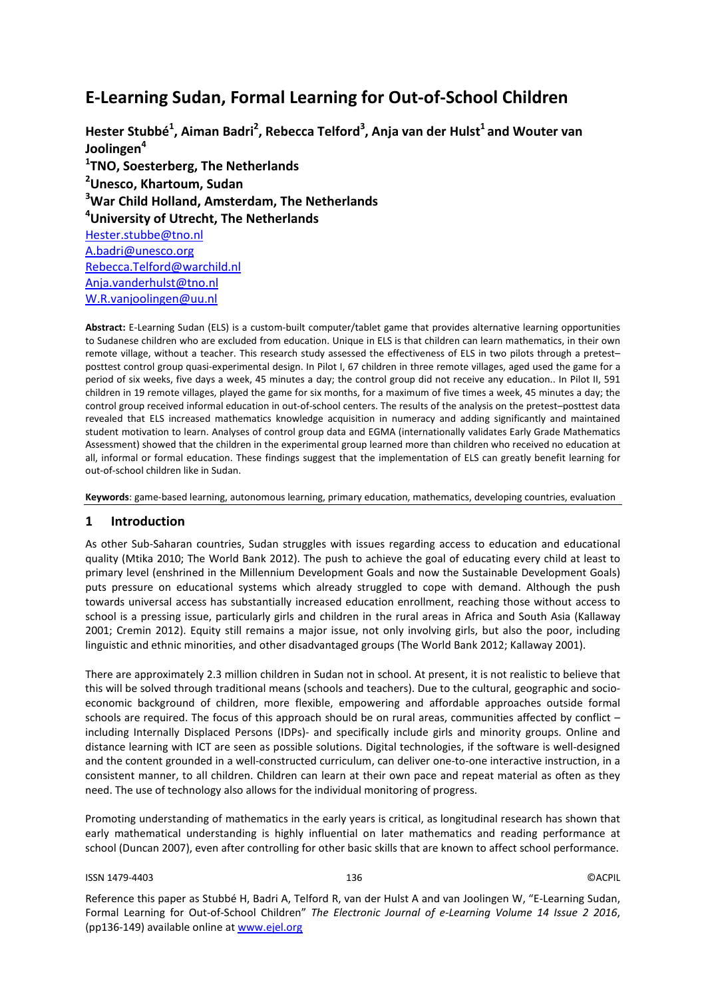# **E-Learning Sudan, Formal Learning for Out-of-School Children**

**Hester Stubbé1 , Aiman Badri<sup>2</sup> , Rebecca Telford<sup>3</sup> , Anja van der Hulst<sup>1</sup> and Wouter van Joolingen<sup>4</sup> 1 TNO, Soesterberg, The Netherlands 2 Unesco, Khartoum, Sudan 3 War Child Holland, Amsterdam, The Netherlands 4 University of Utrecht, The Netherlands** [Hester.stubbe@tno.nl](mailto:Hester.stubbe@tno.nl) [A.badri@unesco.org](mailto:A.badri@unesco.org) [Rebecca.Telford@warchild.nl](mailto:Rebecca.Telford@warchild.nl) [Anja.vanderhulst@tno.nl](mailto:Anja.vanderhulst@tno.nl) [W.R.vanjoolingen@uu.nl](mailto:W.R.vanjoolingen@uu.nl)

**Abstract:** E-Learning Sudan (ELS) is a custom-built computer/tablet game that provides alternative learning opportunities to Sudanese children who are excluded from education. Unique in ELS is that children can learn mathematics, in their own remote village, without a teacher. This research study assessed the effectiveness of ELS in two pilots through a pretest– posttest control group quasi-experimental design. In Pilot I, 67 children in three remote villages, aged used the game for a period of six weeks, five days a week, 45 minutes a day; the control group did not receive any education.. In Pilot II, 591 children in 19 remote villages, played the game for six months, for a maximum of five times a week, 45 minutes a day; the control group received informal education in out-of-school centers. The results of the analysis on the pretest–posttest data revealed that ELS increased mathematics knowledge acquisition in numeracy and adding significantly and maintained student motivation to learn. Analyses of control group data and EGMA (internationally validates Early Grade Mathematics Assessment) showed that the children in the experimental group learned more than children who received no education at all, informal or formal education. These findings suggest that the implementation of ELS can greatly benefit learning for out-of-school children like in Sudan.

**Keywords**: game-based learning, autonomous learning, primary education, mathematics, developing countries, evaluation

# **1 Introduction**

As other Sub-Saharan countries, Sudan struggles with issues regarding access to education and educational quality (Mtika 2010; The World Bank 2012). The push to achieve the goal of educating every child at least to primary level (enshrined in the Millennium Development Goals and now the Sustainable Development Goals) puts pressure on educational systems which already struggled to cope with demand. Although the push towards universal access has substantially increased education enrollment, reaching those without access to school is a pressing issue, particularly girls and children in the rural areas in Africa and South Asia (Kallaway 2001; Cremin 2012). Equity still remains a major issue, not only involving girls, but also the poor, including linguistic and ethnic minorities, and other disadvantaged groups (The World Bank 2012; Kallaway 2001).

There are approximately 2.3 million children in Sudan not in school. At present, it is not realistic to believe that this will be solved through traditional means (schools and teachers). Due to the cultural, geographic and socioeconomic background of children, more flexible, empowering and affordable approaches outside formal schools are required. The focus of this approach should be on rural areas, communities affected by conflict – including Internally Displaced Persons (IDPs)- and specifically include girls and minority groups. Online and distance learning with ICT are seen as possible solutions. Digital technologies, if the software is well-designed and the content grounded in a well-constructed curriculum, can deliver one-to-one interactive instruction, in a consistent manner, to all children. Children can learn at their own pace and repeat material as often as they need. The use of technology also allows for the individual monitoring of progress.

Promoting understanding of mathematics in the early years is critical, as longitudinal research has shown that early mathematical understanding is highly influential on later mathematics and reading performance at school (Duncan 2007), even after controlling for other basic skills that are known to affect school performance.

#### ISSN 1479-4403 136 ©ACPIL

Reference this paper as Stubbé H, Badri A, Telford R, van der Hulst A and van Joolingen W, "E-Learning Sudan, Formal Learning for Out-of-School Children" *The Electronic Journal of e-Learning Volume 14 Issue 2 2016*, (pp136-149) available online at www.ejel.org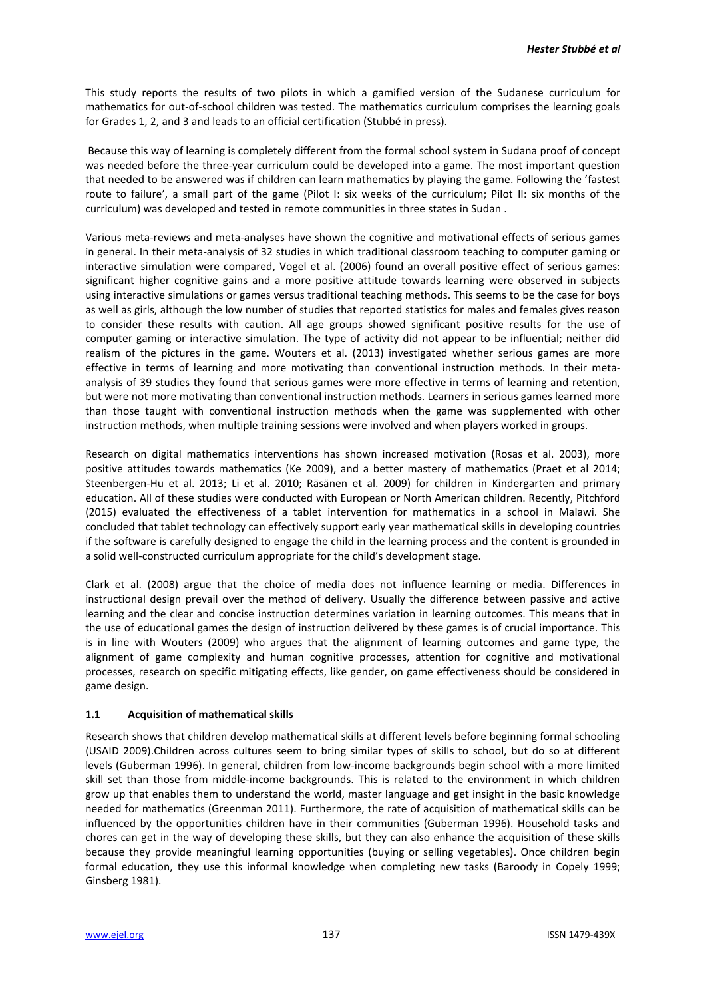This study reports the results of two pilots in which a gamified version of the Sudanese curriculum for mathematics for out-of-school children was tested. The mathematics curriculum comprises the learning goals for Grades 1, 2, and 3 and leads to an official certification (Stubbé in press).

Because this way of learning is completely different from the formal school system in Sudana proof of concept was needed before the three-year curriculum could be developed into a game. The most important question that needed to be answered was if children can learn mathematics by playing the game. Following the 'fastest route to failure', a small part of the game (Pilot I: six weeks of the curriculum; Pilot II: six months of the curriculum) was developed and tested in remote communities in three states in Sudan .

Various meta-reviews and meta-analyses have shown the cognitive and motivational effects of serious games in general. In their meta-analysis of 32 studies in which traditional classroom teaching to computer gaming or interactive simulation were compared, Vogel et al. (2006) found an overall positive effect of serious games: significant higher cognitive gains and a more positive attitude towards learning were observed in subjects using interactive simulations or games versus traditional teaching methods. This seems to be the case for boys as well as girls, although the low number of studies that reported statistics for males and females gives reason to consider these results with caution. All age groups showed significant positive results for the use of computer gaming or interactive simulation. The type of activity did not appear to be influential; neither did realism of the pictures in the game. Wouters et al. (2013) investigated whether serious games are more effective in terms of learning and more motivating than conventional instruction methods. In their metaanalysis of 39 studies they found that serious games were more effective in terms of learning and retention, but were not more motivating than conventional instruction methods. Learners in serious games learned more than those taught with conventional instruction methods when the game was supplemented with other instruction methods, when multiple training sessions were involved and when players worked in groups.

Research on digital mathematics interventions has shown increased motivation (Rosas et al. 2003), more positive attitudes towards mathematics (Ke 2009), and a better mastery of mathematics (Praet et al 2014; Steenbergen-Hu et al. 2013; Li et al. 2010; Räsänen et al. 2009) for children in Kindergarten and primary education. All of these studies were conducted with European or North American children. Recently, Pitchford (2015) evaluated the effectiveness of a tablet intervention for mathematics in a school in Malawi. She concluded that tablet technology can effectively support early year mathematical skills in developing countries if the software is carefully designed to engage the child in the learning process and the content is grounded in a solid well-constructed curriculum appropriate for the child's development stage.

Clark et al. (2008) argue that the choice of media does not influence learning or media. Differences in instructional design prevail over the method of delivery. Usually the difference between passive and active learning and the clear and concise instruction determines variation in learning outcomes. This means that in the use of educational games the design of instruction delivered by these games is of crucial importance. This is in line with Wouters (2009) who argues that the alignment of learning outcomes and game type, the alignment of game complexity and human cognitive processes, attention for cognitive and motivational processes, research on specific mitigating effects, like gender, on game effectiveness should be considered in game design.

### **1.1 Acquisition of mathematical skills**

Research shows that children develop mathematical skills at different levels before beginning formal schooling (USAID 2009).Children across cultures seem to bring similar types of skills to school, but do so at different levels (Guberman 1996). In general, children from low-income backgrounds begin school with a more limited skill set than those from middle-income backgrounds. This is related to the environment in which children grow up that enables them to understand the world, master language and get insight in the basic knowledge needed for mathematics (Greenman 2011). Furthermore, the rate of acquisition of mathematical skills can be influenced by the opportunities children have in their communities (Guberman 1996). Household tasks and chores can get in the way of developing these skills, but they can also enhance the acquisition of these skills because they provide meaningful learning opportunities (buying or selling vegetables). Once children begin formal education, they use this informal knowledge when completing new tasks (Baroody in Copely 1999; Ginsberg 1981).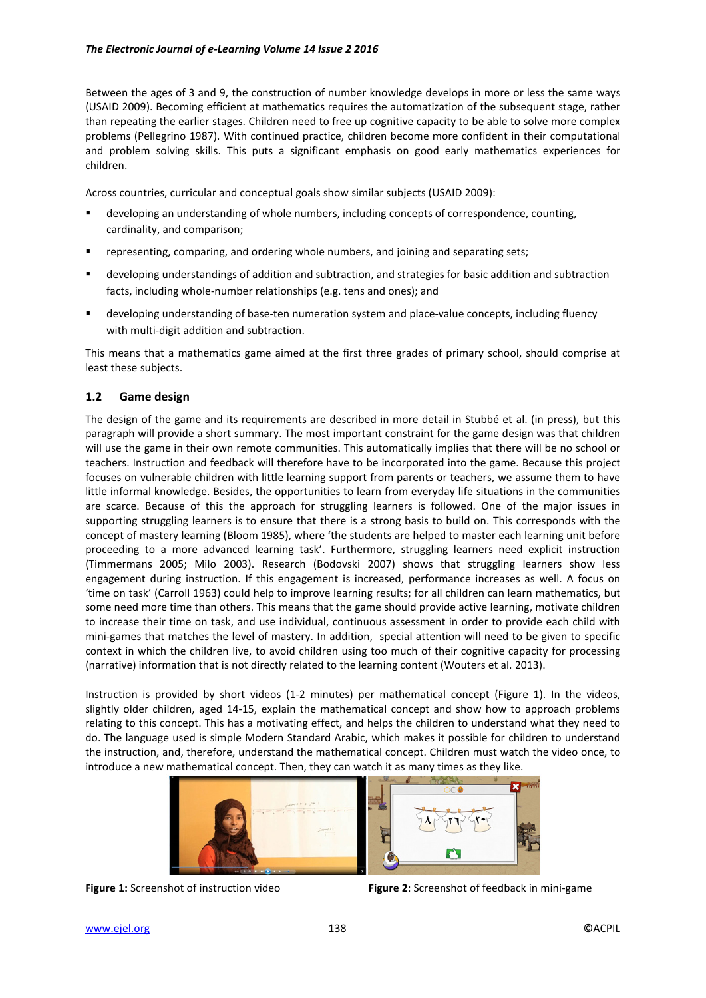Between the ages of 3 and 9, the construction of number knowledge develops in more or less the same ways (USAID 2009). Becoming efficient at mathematics requires the automatization of the subsequent stage, rather than repeating the earlier stages. Children need to free up cognitive capacity to be able to solve more complex problems (Pellegrino 1987). With continued practice, children become more confident in their computational and problem solving skills. This puts a significant emphasis on good early mathematics experiences for children.

Across countries, curricular and conceptual goals show similar subjects (USAID 2009):

- developing an understanding of whole numbers, including concepts of correspondence, counting, cardinality, and comparison;
- representing, comparing, and ordering whole numbers, and joining and separating sets;
- developing understandings of addition and subtraction, and strategies for basic addition and subtraction facts, including whole-number relationships (e.g. tens and ones); and
- developing understanding of base-ten numeration system and place-value concepts, including fluency with multi-digit addition and subtraction.

This means that a mathematics game aimed at the first three grades of primary school, should comprise at least these subjects.

### **1.2 Game design**

The design of the game and its requirements are described in more detail in Stubbé et al. (in press), but this paragraph will provide a short summary. The most important constraint for the game design was that children will use the game in their own remote communities. This automatically implies that there will be no school or teachers. Instruction and feedback will therefore have to be incorporated into the game. Because this project focuses on vulnerable children with little learning support from parents or teachers, we assume them to have little informal knowledge. Besides, the opportunities to learn from everyday life situations in the communities are scarce. Because of this the approach for struggling learners is followed. One of the major issues in supporting struggling learners is to ensure that there is a strong basis to build on. This corresponds with the concept of mastery learning (Bloom 1985), where 'the students are helped to master each learning unit before proceeding to a more advanced learning task'. Furthermore, struggling learners need explicit instruction (Timmermans 2005; Milo 2003). Research (Bodovski 2007) shows that struggling learners show less engagement during instruction. If this engagement is increased, performance increases as well. A focus on 'time on task' (Carroll 1963) could help to improve learning results; for all children can learn mathematics, but some need more time than others. This means that the game should provide active learning, motivate children to increase their time on task, and use individual, continuous assessment in order to provide each child with mini-games that matches the level of mastery. In addition, special attention will need to be given to specific context in which the children live, to avoid children using too much of their cognitive capacity for processing (narrative) information that is not directly related to the learning content (Wouters et al. 2013).

Instruction is provided by short videos (1-2 minutes) per mathematical concept (Figure 1). In the videos, slightly older children, aged 14-15, explain the mathematical concept and show how to approach problems relating to this concept. This has a motivating effect, and helps the children to understand what they need to do. The language used is simple Modern Standard Arabic, which makes it possible for children to understand the instruction, and, therefore, understand the mathematical concept. Children must watch the video once, to introduce a new mathematical concept. Then, they can watch it as many times as they like.



**Figure 1:** Screenshot of instruction video **Figure 2**: Screenshot of feedback in mini-game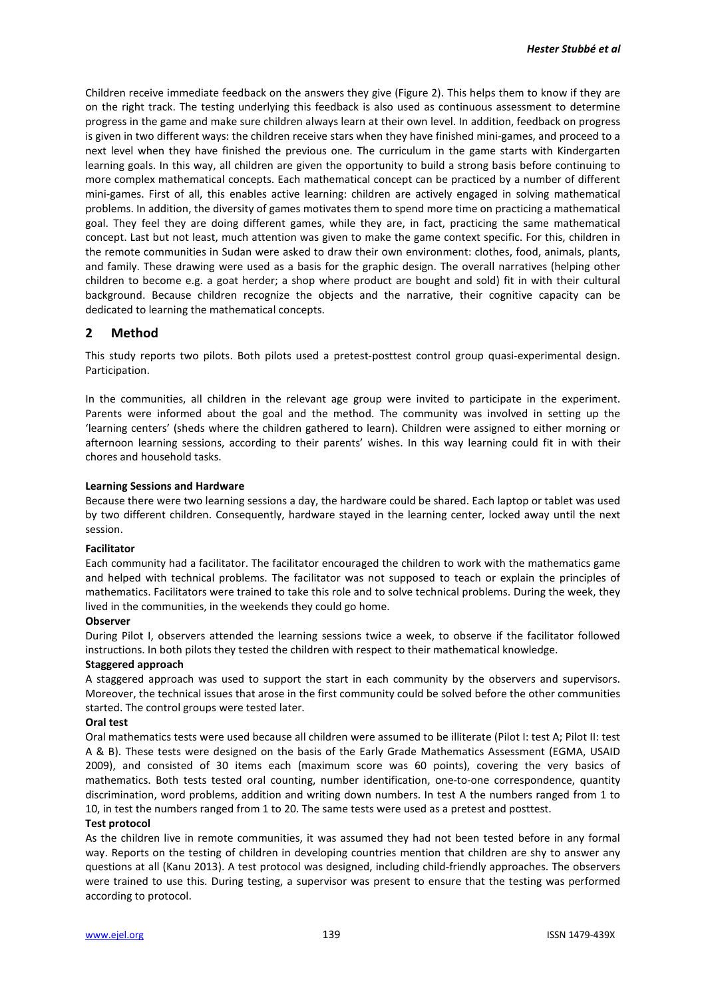Children receive immediate feedback on the answers they give (Figure 2). This helps them to know if they are on the right track. The testing underlying this feedback is also used as continuous assessment to determine progress in the game and make sure children always learn at their own level. In addition, feedback on progress is given in two different ways: the children receive stars when they have finished mini-games, and proceed to a next level when they have finished the previous one. The curriculum in the game starts with Kindergarten learning goals. In this way, all children are given the opportunity to build a strong basis before continuing to more complex mathematical concepts. Each mathematical concept can be practiced by a number of different mini-games. First of all, this enables active learning: children are actively engaged in solving mathematical problems. In addition, the diversity of games motivates them to spend more time on practicing a mathematical goal. They feel they are doing different games, while they are, in fact, practicing the same mathematical concept. Last but not least, much attention was given to make the game context specific. For this, children in the remote communities in Sudan were asked to draw their own environment: clothes, food, animals, plants, and family. These drawing were used as a basis for the graphic design. The overall narratives (helping other children to become e.g. a goat herder; a shop where product are bought and sold) fit in with their cultural background. Because children recognize the objects and the narrative, their cognitive capacity can be dedicated to learning the mathematical concepts.

# **2 Method**

This study reports two pilots. Both pilots used a pretest-posttest control group quasi-experimental design. Participation.

In the communities, all children in the relevant age group were invited to participate in the experiment. Parents were informed about the goal and the method. The community was involved in setting up the 'learning centers' (sheds where the children gathered to learn). Children were assigned to either morning or afternoon learning sessions, according to their parents' wishes. In this way learning could fit in with their chores and household tasks.

### **Learning Sessions and Hardware**

Because there were two learning sessions a day, the hardware could be shared. Each laptop or tablet was used by two different children. Consequently, hardware stayed in the learning center, locked away until the next session.

### **Facilitator**

Each community had a facilitator. The facilitator encouraged the children to work with the mathematics game and helped with technical problems. The facilitator was not supposed to teach or explain the principles of mathematics. Facilitators were trained to take this role and to solve technical problems. During the week, they lived in the communities, in the weekends they could go home.

### **Observer**

During Pilot I, observers attended the learning sessions twice a week, to observe if the facilitator followed instructions. In both pilots they tested the children with respect to their mathematical knowledge.

#### **Staggered approach**

A staggered approach was used to support the start in each community by the observers and supervisors. Moreover, the technical issues that arose in the first community could be solved before the other communities started. The control groups were tested later.

#### **Oral test**

Oral mathematics tests were used because all children were assumed to be illiterate (Pilot I: test A; Pilot II: test A & B). These tests were designed on the basis of the Early Grade Mathematics Assessment (EGMA, USAID 2009), and consisted of 30 items each (maximum score was 60 points), covering the very basics of mathematics. Both tests tested oral counting, number identification, one-to-one correspondence, quantity discrimination, word problems, addition and writing down numbers. In test A the numbers ranged from 1 to 10, in test the numbers ranged from 1 to 20. The same tests were used as a pretest and posttest.

#### **Test protocol**

As the children live in remote communities, it was assumed they had not been tested before in any formal way. Reports on the testing of children in developing countries mention that children are shy to answer any questions at all (Kanu 2013). A test protocol was designed, including child-friendly approaches. The observers were trained to use this. During testing, a supervisor was present to ensure that the testing was performed according to protocol.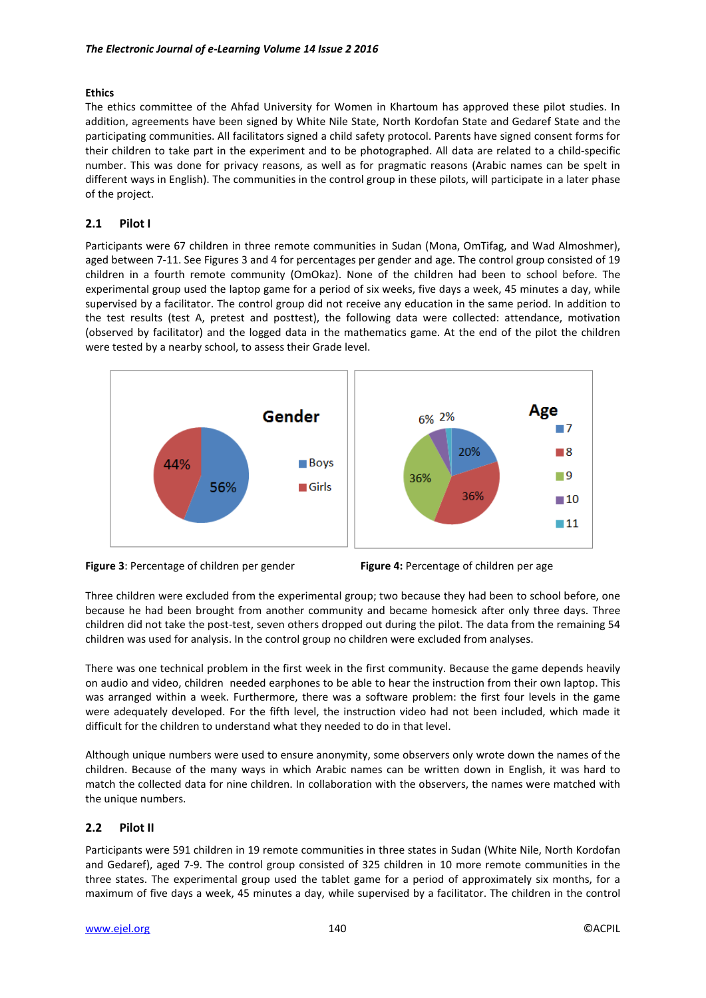### **Ethics**

The ethics committee of the Ahfad University for Women in Khartoum has approved these pilot studies. In addition, agreements have been signed by White Nile State, North Kordofan State and Gedaref State and the participating communities. All facilitators signed a child safety protocol. Parents have signed consent forms for their children to take part in the experiment and to be photographed. All data are related to a child-specific number. This was done for privacy reasons, as well as for pragmatic reasons (Arabic names can be spelt in different ways in English). The communities in the control group in these pilots, will participate in a later phase of the project.

# **2.1 Pilot I**

Participants were 67 children in three remote communities in Sudan (Mona, OmTifag, and Wad Almoshmer), aged between 7-11. See Figures 3 and 4 for percentages per gender and age. The control group consisted of 19 children in a fourth remote community (OmOkaz). None of the children had been to school before. The experimental group used the laptop game for a period of six weeks, five days a week, 45 minutes a day, while supervised by a facilitator. The control group did not receive any education in the same period. In addition to the test results (test A, pretest and posttest), the following data were collected: attendance, motivation (observed by facilitator) and the logged data in the mathematics game. At the end of the pilot the children were tested by a nearby school, to assess their Grade level.





Three children were excluded from the experimental group; two because they had been to school before, one because he had been brought from another community and became homesick after only three days. Three children did not take the post-test, seven others dropped out during the pilot. The data from the remaining 54 children was used for analysis. In the control group no children were excluded from analyses.

There was one technical problem in the first week in the first community. Because the game depends heavily on audio and video, children needed earphones to be able to hear the instruction from their own laptop. This was arranged within a week. Furthermore, there was a software problem: the first four levels in the game were adequately developed. For the fifth level, the instruction video had not been included, which made it difficult for the children to understand what they needed to do in that level.

Although unique numbers were used to ensure anonymity, some observers only wrote down the names of the children. Because of the many ways in which Arabic names can be written down in English, it was hard to match the collected data for nine children. In collaboration with the observers, the names were matched with the unique numbers.

# **2.2 Pilot II**

Participants were 591 children in 19 remote communities in three states in Sudan (White Nile, North Kordofan and Gedaref), aged 7-9. The control group consisted of 325 children in 10 more remote communities in the three states. The experimental group used the tablet game for a period of approximately six months, for a maximum of five days a week, 45 minutes a day, while supervised by a facilitator. The children in the control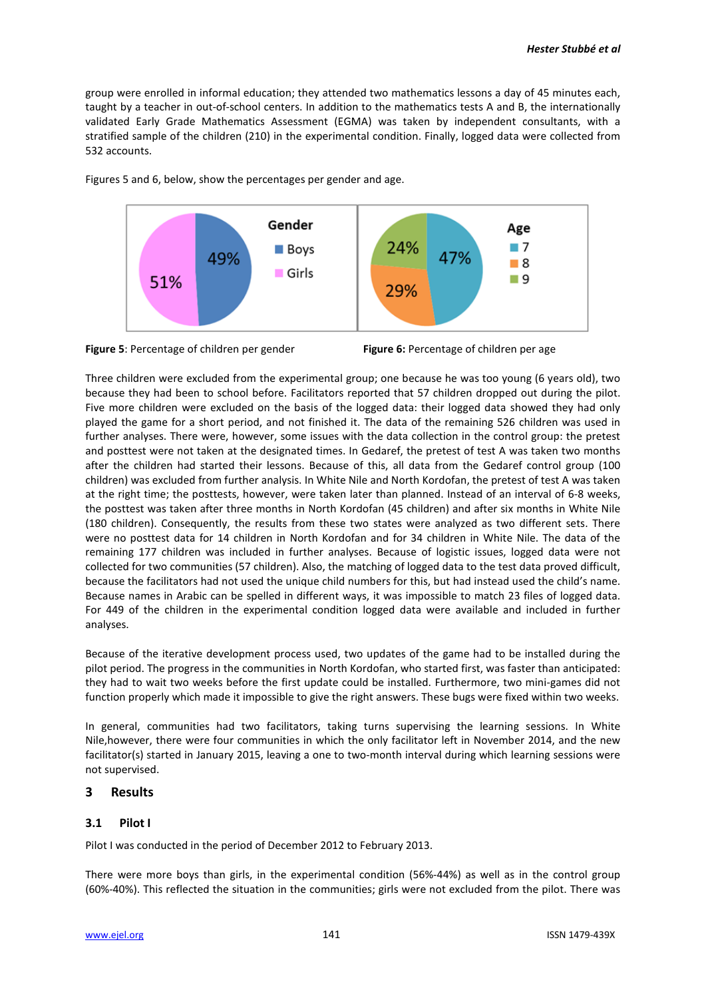group were enrolled in informal education; they attended two mathematics lessons a day of 45 minutes each, taught by a teacher in out-of-school centers. In addition to the mathematics tests A and B, the internationally validated Early Grade Mathematics Assessment (EGMA) was taken by independent consultants, with a stratified sample of the children (210) in the experimental condition. Finally, logged data were collected from 532 accounts.



Figures 5 and 6, below, show the percentages per gender and age.



Three children were excluded from the experimental group; one because he was too young (6 years old), two because they had been to school before. Facilitators reported that 57 children dropped out during the pilot. Five more children were excluded on the basis of the logged data: their logged data showed they had only played the game for a short period, and not finished it. The data of the remaining 526 children was used in further analyses. There were, however, some issues with the data collection in the control group: the pretest and posttest were not taken at the designated times. In Gedaref, the pretest of test A was taken two months after the children had started their lessons. Because of this, all data from the Gedaref control group (100 children) was excluded from further analysis. In White Nile and North Kordofan, the pretest of test A was taken at the right time; the posttests, however, were taken later than planned. Instead of an interval of 6-8 weeks, the posttest was taken after three months in North Kordofan (45 children) and after six months in White Nile (180 children). Consequently, the results from these two states were analyzed as two different sets. There were no posttest data for 14 children in North Kordofan and for 34 children in White Nile. The data of the remaining 177 children was included in further analyses. Because of logistic issues, logged data were not collected for two communities (57 children). Also, the matching of logged data to the test data proved difficult, because the facilitators had not used the unique child numbers for this, but had instead used the child's name. Because names in Arabic can be spelled in different ways, it was impossible to match 23 files of logged data. For 449 of the children in the experimental condition logged data were available and included in further analyses.

Because of the iterative development process used, two updates of the game had to be installed during the pilot period. The progress in the communities in North Kordofan, who started first, was faster than anticipated: they had to wait two weeks before the first update could be installed. Furthermore, two mini-games did not function properly which made it impossible to give the right answers. These bugs were fixed within two weeks.

In general, communities had two facilitators, taking turns supervising the learning sessions. In White Nile,however, there were four communities in which the only facilitator left in November 2014, and the new facilitator(s) started in January 2015, leaving a one to two-month interval during which learning sessions were not supervised.

# **3 Results**

# **3.1 Pilot I**

Pilot I was conducted in the period of December 2012 to February 2013.

There were more boys than girls, in the experimental condition (56%-44%) as well as in the control group (60%-40%). This reflected the situation in the communities; girls were not excluded from the pilot. There was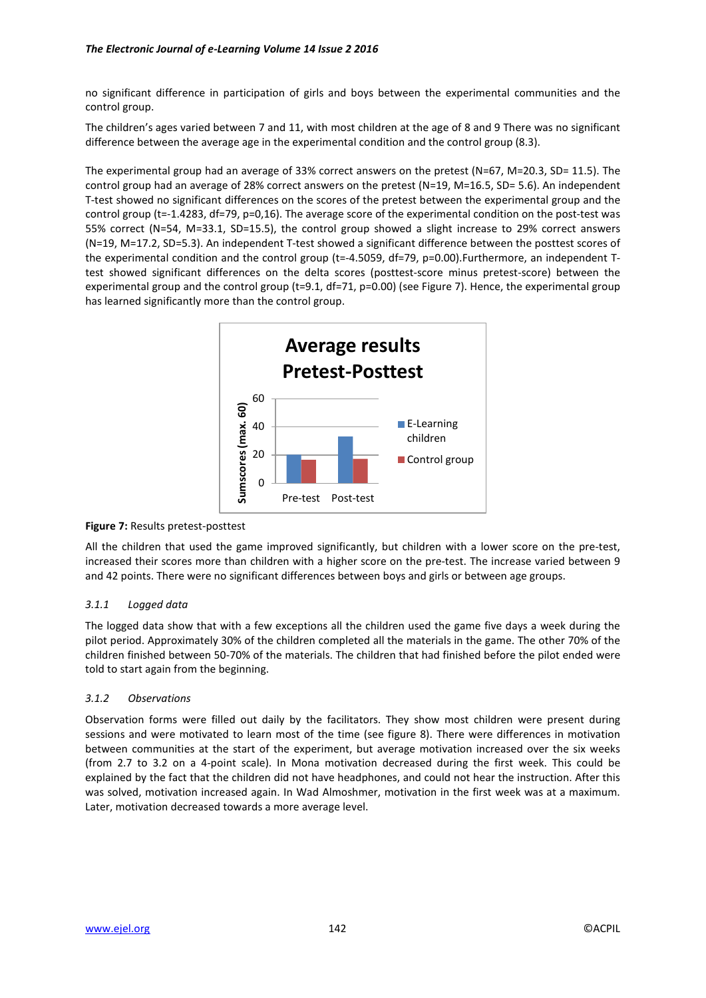no significant difference in participation of girls and boys between the experimental communities and the control group.

The children's ages varied between 7 and 11, with most children at the age of 8 and 9 There was no significant difference between the average age in the experimental condition and the control group (8.3).

The experimental group had an average of 33% correct answers on the pretest (N=67, M=20.3, SD= 11.5). The control group had an average of 28% correct answers on the pretest (N=19, M=16.5, SD= 5.6). An independent T-test showed no significant differences on the scores of the pretest between the experimental group and the control group (t=-1.4283, df=79, p=0,16). The average score of the experimental condition on the post-test was 55% correct (N=54, M=33.1, SD=15.5), the control group showed a slight increase to 29% correct answers (N=19, M=17.2, SD=5.3). An independent T-test showed a significant difference between the posttest scores of the experimental condition and the control group (t=-4.5059, df=79, p=0.00). Furthermore, an independent Ttest showed significant differences on the delta scores (posttest-score minus pretest-score) between the experimental group and the control group (t=9.1, df=71, p=0.00) (see Figure 7). Hence, the experimental group has learned significantly more than the control group.



### **Figure 7:** Results pretest-posttest

All the children that used the game improved significantly, but children with a lower score on the pre-test, increased their scores more than children with a higher score on the pre-test. The increase varied between 9 and 42 points. There were no significant differences between boys and girls or between age groups.

### *3.1.1 Logged data*

The logged data show that with a few exceptions all the children used the game five days a week during the pilot period. Approximately 30% of the children completed all the materials in the game. The other 70% of the children finished between 50-70% of the materials. The children that had finished before the pilot ended were told to start again from the beginning.

### *3.1.2 Observations*

Observation forms were filled out daily by the facilitators. They show most children were present during sessions and were motivated to learn most of the time (see figure 8). There were differences in motivation between communities at the start of the experiment, but average motivation increased over the six weeks (from 2.7 to 3.2 on a 4-point scale). In Mona motivation decreased during the first week. This could be explained by the fact that the children did not have headphones, and could not hear the instruction. After this was solved, motivation increased again. In Wad Almoshmer, motivation in the first week was at a maximum. Later, motivation decreased towards a more average level.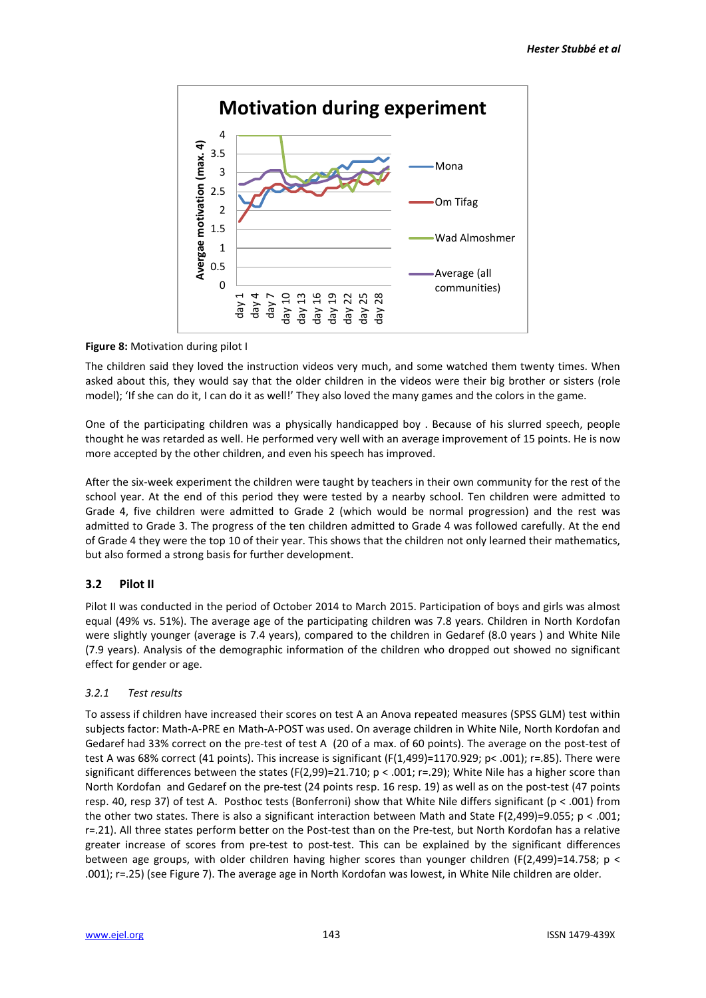

**Figure 8:** Motivation during pilot I

The children said they loved the instruction videos very much, and some watched them twenty times. When asked about this, they would say that the older children in the videos were their big brother or sisters (role model); 'If she can do it, I can do it as well!' They also loved the many games and the colors in the game.

One of the participating children was a physically handicapped boy . Because of his slurred speech, people thought he was retarded as well. He performed very well with an average improvement of 15 points. He is now more accepted by the other children, and even his speech has improved.

After the six-week experiment the children were taught by teachers in their own community for the rest of the school year. At the end of this period they were tested by a nearby school. Ten children were admitted to Grade 4, five children were admitted to Grade 2 (which would be normal progression) and the rest was admitted to Grade 3. The progress of the ten children admitted to Grade 4 was followed carefully. At the end of Grade 4 they were the top 10 of their year. This shows that the children not only learned their mathematics, but also formed a strong basis for further development.

# **3.2 Pilot II**

Pilot II was conducted in the period of October 2014 to March 2015. Participation of boys and girls was almost equal (49% vs. 51%). The average age of the participating children was 7.8 years. Children in North Kordofan were slightly younger (average is 7.4 years), compared to the children in Gedaref (8.0 years ) and White Nile (7.9 years). Analysis of the demographic information of the children who dropped out showed no significant effect for gender or age.

# *3.2.1 Test results*

To assess if children have increased their scores on test A an Anova repeated measures (SPSS GLM) test within subjects factor: Math-A-PRE en Math-A-POST was used. On average children in White Nile, North Kordofan and Gedaref had 33% correct on the pre-test of test A (20 of a max. of 60 points). The average on the post-test of test A was 68% correct (41 points). This increase is significant (F(1,499)=1170.929; p< .001); r=.85). There were significant differences between the states (F(2,99)=21.710;  $p < .001$ ; r=.29); White Nile has a higher score than North Kordofan and Gedaref on the pre-test (24 points resp. 16 resp. 19) as well as on the post-test (47 points resp. 40, resp 37) of test A. Posthoc tests (Bonferroni) show that White Nile differs significant (p < .001) from the other two states. There is also a significant interaction between Math and State F(2,499)=9.055; p < .001; r=.21). All three states perform better on the Post-test than on the Pre-test, but North Kordofan has a relative greater increase of scores from pre-test to post-test. This can be explained by the significant differences between age groups, with older children having higher scores than younger children (F(2,499)=14.758; p < .001); r=.25) (see Figure 7). The average age in North Kordofan was lowest, in White Nile children are older.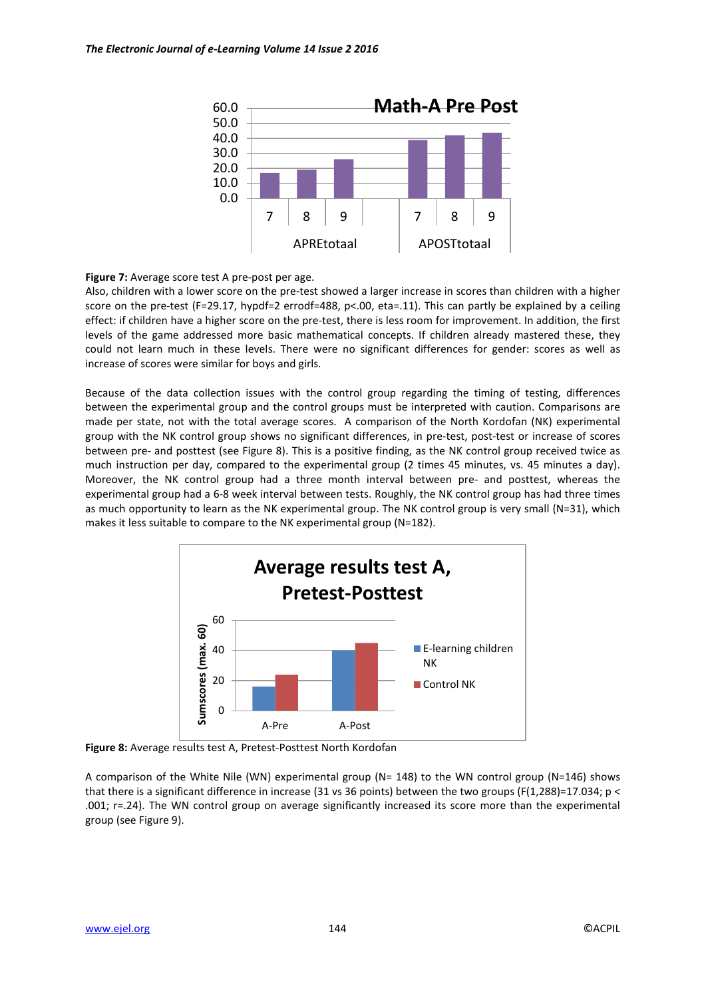

**Figure 7:** Average score test A pre-post per age.

Also, children with a lower score on the pre-test showed a larger increase in scores than children with a higher score on the pre-test (F=29.17, hypdf=2 errodf=488, p<.00, eta=.11). This can partly be explained by a ceiling effect: if children have a higher score on the pre-test, there is less room for improvement. In addition, the first levels of the game addressed more basic mathematical concepts. If children already mastered these, they could not learn much in these levels. There were no significant differences for gender: scores as well as increase of scores were similar for boys and girls.

Because of the data collection issues with the control group regarding the timing of testing, differences between the experimental group and the control groups must be interpreted with caution. Comparisons are made per state, not with the total average scores. A comparison of the North Kordofan (NK) experimental group with the NK control group shows no significant differences, in pre-test, post-test or increase of scores between pre- and posttest (see Figure 8). This is a positive finding, as the NK control group received twice as much instruction per day, compared to the experimental group (2 times 45 minutes, vs. 45 minutes a day). Moreover, the NK control group had a three month interval between pre- and posttest, whereas the experimental group had a 6-8 week interval between tests. Roughly, the NK control group has had three times as much opportunity to learn as the NK experimental group. The NK control group is very small (N=31), which makes it less suitable to compare to the NK experimental group (N=182).



**Figure 8:** Average results test A, Pretest-Posttest North Kordofan

A comparison of the White Nile (WN) experimental group (N= 148) to the WN control group (N=146) shows that there is a significant difference in increase (31 vs 36 points) between the two groups (F(1,288)=17.034; p < .001; r=.24). The WN control group on average significantly increased its score more than the experimental group (see Figure 9).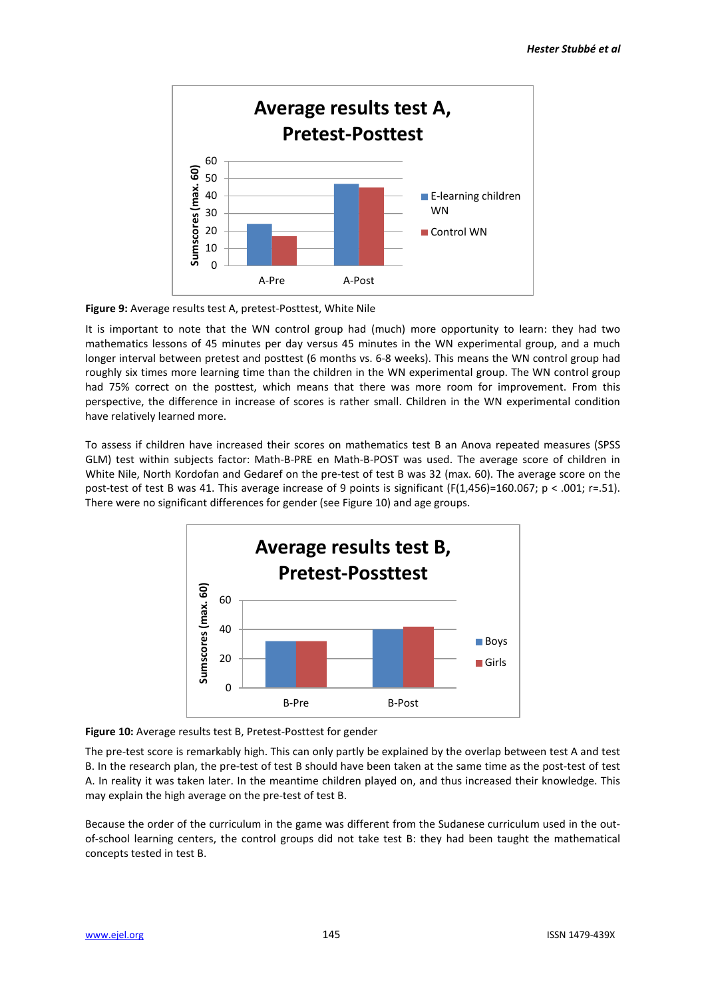

**Figure 9:** Average results test A, pretest-Posttest, White Nile

It is important to note that the WN control group had (much) more opportunity to learn: they had two mathematics lessons of 45 minutes per day versus 45 minutes in the WN experimental group, and a much longer interval between pretest and posttest (6 months vs. 6-8 weeks). This means the WN control group had roughly six times more learning time than the children in the WN experimental group. The WN control group had 75% correct on the posttest, which means that there was more room for improvement. From this perspective, the difference in increase of scores is rather small. Children in the WN experimental condition have relatively learned more.

To assess if children have increased their scores on mathematics test B an Anova repeated measures (SPSS GLM) test within subjects factor: Math-B-PRE en Math-B-POST was used. The average score of children in White Nile, North Kordofan and Gedaref on the pre-test of test B was 32 (max. 60). The average score on the post-test of test B was 41. This average increase of 9 points is significant (F(1,456)=160.067; p < .001; r=.51). There were no significant differences for gender (see Figure 10) and age groups.



**Figure 10:** Average results test B, Pretest-Posttest for gender

The pre-test score is remarkably high. This can only partly be explained by the overlap between test A and test B. In the research plan, the pre-test of test B should have been taken at the same time as the post-test of test A. In reality it was taken later. In the meantime children played on, and thus increased their knowledge. This may explain the high average on the pre-test of test B.

Because the order of the curriculum in the game was different from the Sudanese curriculum used in the outof-school learning centers, the control groups did not take test B: they had been taught the mathematical concepts tested in test B.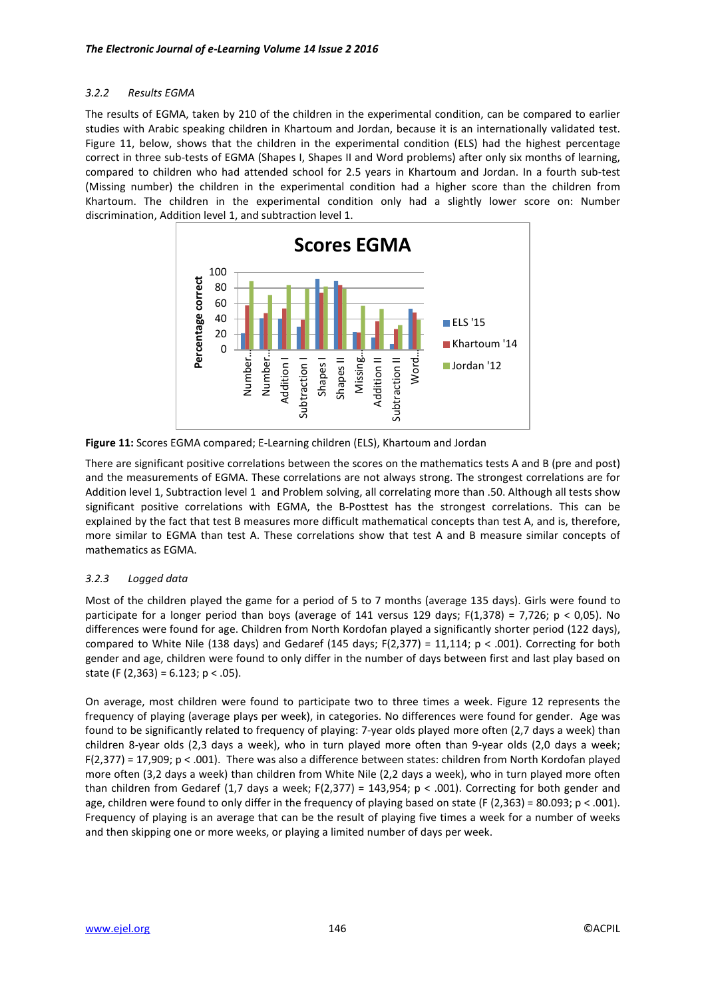### *3.2.2 Results EGMA*

The results of EGMA, taken by 210 of the children in the experimental condition, can be compared to earlier studies with Arabic speaking children in Khartoum and Jordan, because it is an internationally validated test. Figure 11, below, shows that the children in the experimental condition (ELS) had the highest percentage correct in three sub-tests of EGMA (Shapes I, Shapes II and Word problems) after only six months of learning, compared to children who had attended school for 2.5 years in Khartoum and Jordan. In a fourth sub-test (Missing number) the children in the experimental condition had a higher score than the children from Khartoum. The children in the experimental condition only had a slightly lower score on: Number discrimination, Addition level 1, and subtraction level 1.



**Figure 11:** Scores EGMA compared; E-Learning children (ELS), Khartoum and Jordan

There are significant positive correlations between the scores on the mathematics tests A and B (pre and post) and the measurements of EGMA. These correlations are not always strong. The strongest correlations are for Addition level 1, Subtraction level 1 and Problem solving, all correlating more than .50. Although all tests show significant positive correlations with EGMA, the B-Posttest has the strongest correlations. This can be explained by the fact that test B measures more difficult mathematical concepts than test A, and is, therefore, more similar to EGMA than test A. These correlations show that test A and B measure similar concepts of mathematics as EGMA.

# *3.2.3 Logged data*

Most of the children played the game for a period of 5 to 7 months (average 135 days). Girls were found to participate for a longer period than boys (average of 141 versus 129 days;  $F(1,378) = 7,726$ ;  $p < 0,05$ ). No differences were found for age. Children from North Kordofan played a significantly shorter period (122 days), compared to White Nile (138 days) and Gedaref (145 days;  $F(2,377) = 11,114$ ;  $p < .001$ ). Correcting for both gender and age, children were found to only differ in the number of days between first and last play based on state (F  $(2.363) = 6.123$ ; p < .05).

On average, most children were found to participate two to three times a week. Figure 12 represents the frequency of playing (average plays per week), in categories. No differences were found for gender. Age was found to be significantly related to frequency of playing: 7-year olds played more often (2,7 days a week) than children 8-year olds (2,3 days a week), who in turn played more often than 9-year olds (2,0 days a week; F(2,377) = 17,909; p < .001). There was also a difference between states: children from North Kordofan played more often (3,2 days a week) than children from White Nile (2,2 days a week), who in turn played more often than children from Gedaref (1,7 days a week;  $F(2,377) = 143,954$ ;  $p < .001$ ). Correcting for both gender and age, children were found to only differ in the frequency of playing based on state (F  $(2,363)$  = 80.093; p < .001). Frequency of playing is an average that can be the result of playing five times a week for a number of weeks and then skipping one or more weeks, or playing a limited number of days per week.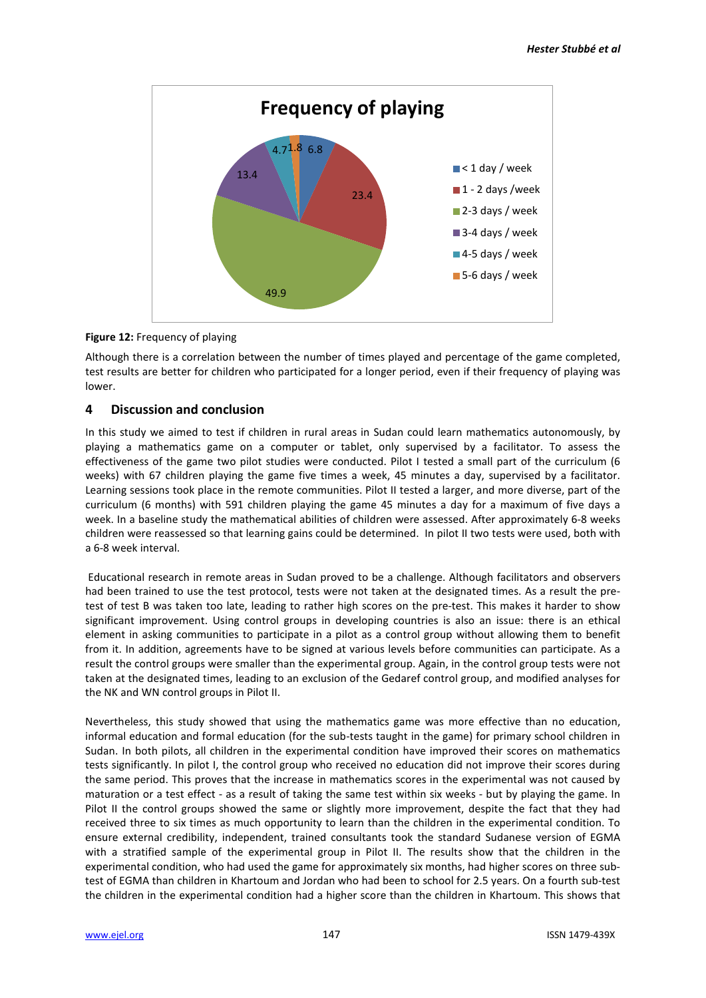

### **Figure 12:** Frequency of playing

Although there is a correlation between the number of times played and percentage of the game completed, test results are better for children who participated for a longer period, even if their frequency of playing was lower.

# **4 Discussion and conclusion**

In this study we aimed to test if children in rural areas in Sudan could learn mathematics autonomously, by playing a mathematics game on a computer or tablet, only supervised by a facilitator. To assess the effectiveness of the game two pilot studies were conducted. Pilot I tested a small part of the curriculum (6 weeks) with 67 children playing the game five times a week, 45 minutes a day, supervised by a facilitator. Learning sessions took place in the remote communities. Pilot II tested a larger, and more diverse, part of the curriculum (6 months) with 591 children playing the game 45 minutes a day for a maximum of five days a week. In a baseline study the mathematical abilities of children were assessed. After approximately 6-8 weeks children were reassessed so that learning gains could be determined. In pilot II two tests were used, both with a 6-8 week interval.

Educational research in remote areas in Sudan proved to be a challenge. Although facilitators and observers had been trained to use the test protocol, tests were not taken at the designated times. As a result the pretest of test B was taken too late, leading to rather high scores on the pre-test. This makes it harder to show significant improvement. Using control groups in developing countries is also an issue: there is an ethical element in asking communities to participate in a pilot as a control group without allowing them to benefit from it. In addition, agreements have to be signed at various levels before communities can participate. As a result the control groups were smaller than the experimental group. Again, in the control group tests were not taken at the designated times, leading to an exclusion of the Gedaref control group, and modified analyses for the NK and WN control groups in Pilot II.

Nevertheless, this study showed that using the mathematics game was more effective than no education, informal education and formal education (for the sub-tests taught in the game) for primary school children in Sudan. In both pilots, all children in the experimental condition have improved their scores on mathematics tests significantly. In pilot I, the control group who received no education did not improve their scores during the same period. This proves that the increase in mathematics scores in the experimental was not caused by maturation or a test effect - as a result of taking the same test within six weeks - but by playing the game. In Pilot II the control groups showed the same or slightly more improvement, despite the fact that they had received three to six times as much opportunity to learn than the children in the experimental condition. To ensure external credibility, independent, trained consultants took the standard Sudanese version of EGMA with a stratified sample of the experimental group in Pilot II. The results show that the children in the experimental condition, who had used the game for approximately six months, had higher scores on three subtest of EGMA than children in Khartoum and Jordan who had been to school for 2.5 years. On a fourth sub-test the children in the experimental condition had a higher score than the children in Khartoum. This shows that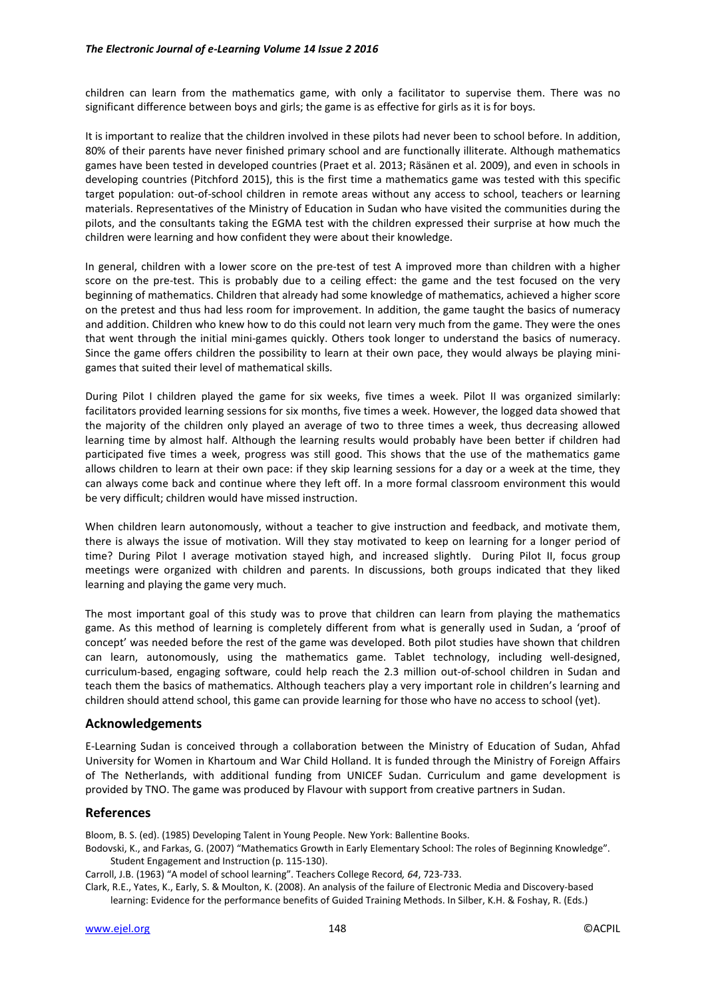children can learn from the mathematics game, with only a facilitator to supervise them. There was no significant difference between boys and girls; the game is as effective for girls as it is for boys.

It is important to realize that the children involved in these pilots had never been to school before. In addition, 80% of their parents have never finished primary school and are functionally illiterate. Although mathematics games have been tested in developed countries (Praet et al. 2013; Räsänen et al. 2009), and even in schools in developing countries (Pitchford 2015), this is the first time a mathematics game was tested with this specific target population: out-of-school children in remote areas without any access to school, teachers or learning materials. Representatives of the Ministry of Education in Sudan who have visited the communities during the pilots, and the consultants taking the EGMA test with the children expressed their surprise at how much the children were learning and how confident they were about their knowledge.

In general, children with a lower score on the pre-test of test A improved more than children with a higher score on the pre-test. This is probably due to a ceiling effect: the game and the test focused on the very beginning of mathematics. Children that already had some knowledge of mathematics, achieved a higher score on the pretest and thus had less room for improvement. In addition, the game taught the basics of numeracy and addition. Children who knew how to do this could not learn very much from the game. They were the ones that went through the initial mini-games quickly. Others took longer to understand the basics of numeracy. Since the game offers children the possibility to learn at their own pace, they would always be playing minigames that suited their level of mathematical skills.

During Pilot I children played the game for six weeks, five times a week. Pilot II was organized similarly: facilitators provided learning sessions for six months, five times a week. However, the logged data showed that the majority of the children only played an average of two to three times a week, thus decreasing allowed learning time by almost half. Although the learning results would probably have been better if children had participated five times a week, progress was still good. This shows that the use of the mathematics game allows children to learn at their own pace: if they skip learning sessions for a day or a week at the time, they can always come back and continue where they left off. In a more formal classroom environment this would be very difficult; children would have missed instruction.

When children learn autonomously, without a teacher to give instruction and feedback, and motivate them, there is always the issue of motivation. Will they stay motivated to keep on learning for a longer period of time? During Pilot I average motivation stayed high, and increased slightly. During Pilot II, focus group meetings were organized with children and parents. In discussions, both groups indicated that they liked learning and playing the game very much.

The most important goal of this study was to prove that children can learn from playing the mathematics game. As this method of learning is completely different from what is generally used in Sudan, a 'proof of concept' was needed before the rest of the game was developed. Both pilot studies have shown that children can learn, autonomously, using the mathematics game. Tablet technology, including well-designed, curriculum-based, engaging software, could help reach the 2.3 million out-of-school children in Sudan and teach them the basics of mathematics. Although teachers play a very important role in children's learning and children should attend school, this game can provide learning for those who have no access to school (yet).

#### **Acknowledgements**

E-Learning Sudan is conceived through a collaboration between the Ministry of Education of Sudan, Ahfad University for Women in Khartoum and War Child Holland. It is funded through the Ministry of Foreign Affairs of The Netherlands, with additional funding from UNICEF Sudan. Curriculum and game development is provided by TNO. The game was produced by Flavour with support from creative partners in Sudan.

#### **References**

Bloom, B. S. (ed). (1985) Developing Talent in Young People. New York: Ballentine Books.

- Bodovski, K., and Farkas, G. (2007) "Mathematics Growth in Early Elementary School: The roles of Beginning Knowledge". Student Engagement and Instruction (p. 115-130).
- Carroll, J.B. (1963) "A model of school learning". Teachers College Record*, 64*, 723-733.

Clark, R.E., Yates, K., Early, S. & Moulton, K. (2008). An analysis of the failure of Electronic Media and Discovery-based learning: Evidence for the performance benefits of Guided Training Methods. In Silber, K.H. & Foshay, R. (Eds.)